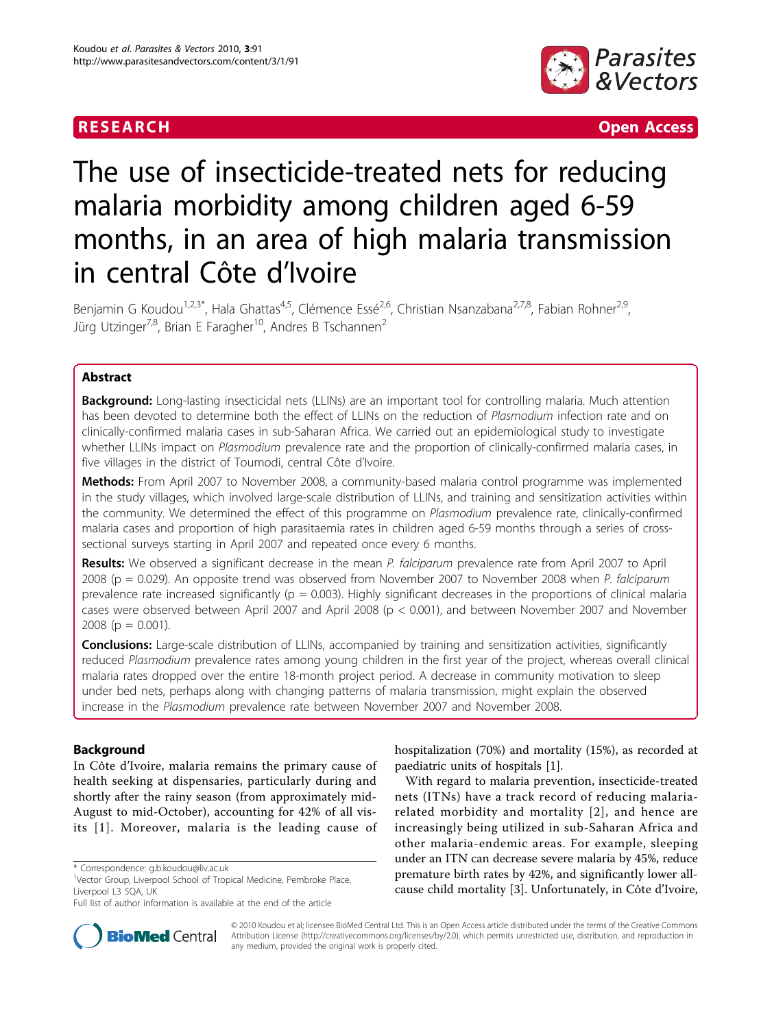

**RESEARCH Open Access Contract Contract Contract Contract Contract Contract Contract Contract Contract Contract Contract Contract Contract Contract Contract Contract Contract Contract Contract Contract Contract Contract** 

# The use of insecticide-treated nets for reducing malaria morbidity among children aged 6-59 months, in an area of high malaria transmission in central Côte d'Ivoire

Benjamin G Koudou<sup>1,2,3\*</sup>, Hala Ghattas<sup>4,5</sup>, Clémence Essé<sup>2,6</sup>, Christian Nsanzabana<sup>2,7,8</sup>, Fabian Rohner<sup>2,9</sup>, Jürg Utzinger<sup>7,8</sup>, Brian E Faragher<sup>10</sup>, Andres B Tschannen<sup>2</sup>

### Abstract

**Background:** Long-lasting insecticidal nets (LLINs) are an important tool for controlling malaria. Much attention has been devoted to determine both the effect of LLINs on the reduction of Plasmodium infection rate and on clinically-confirmed malaria cases in sub-Saharan Africa. We carried out an epidemiological study to investigate whether LLINs impact on Plasmodium prevalence rate and the proportion of clinically-confirmed malaria cases, in five villages in the district of Toumodi, central Côte d'Ivoire.

Methods: From April 2007 to November 2008, a community-based malaria control programme was implemented in the study villages, which involved large-scale distribution of LLINs, and training and sensitization activities within the community. We determined the effect of this programme on Plasmodium prevalence rate, clinically-confirmed malaria cases and proportion of high parasitaemia rates in children aged 6-59 months through a series of crosssectional surveys starting in April 2007 and repeated once every 6 months.

Results: We observed a significant decrease in the mean P. falciparum prevalence rate from April 2007 to April 2008 (p = 0.029). An opposite trend was observed from November 2007 to November 2008 when P. falciparum prevalence rate increased significantly ( $p = 0.003$ ). Highly significant decreases in the proportions of clinical malaria cases were observed between April 2007 and April 2008 (p < 0.001), and between November 2007 and November 2008 ( $p = 0.001$ ).

**Conclusions:** Large-scale distribution of LLINs, accompanied by training and sensitization activities, significantly reduced Plasmodium prevalence rates among young children in the first year of the project, whereas overall clinical malaria rates dropped over the entire 18-month project period. A decrease in community motivation to sleep under bed nets, perhaps along with changing patterns of malaria transmission, might explain the observed increase in the Plasmodium prevalence rate between November 2007 and November 2008.

### Background

In Côte d'Ivoire, malaria remains the primary cause of health seeking at dispensaries, particularly during and shortly after the rainy season (from approximately mid-August to mid-October), accounting for 42% of all visits [[1\]](#page-9-0). Moreover, malaria is the leading cause of



With regard to malaria prevention, insecticide-treated nets (ITNs) have a track record of reducing malariarelated morbidity and mortality [[2\]](#page-9-0), and hence are increasingly being utilized in sub-Saharan Africa and other malaria-endemic areas. For example, sleeping under an ITN can decrease severe malaria by 45%, reduce premature birth rates by 42%, and significantly lower allcause child mortality [[3\]](#page-9-0). Unfortunately, in Côte d'Ivoire,



© 2010 Koudou et al; licensee BioMed Central Ltd. This is an Open Access article distributed under the terms of the Creative Commons Attribution License [\(http://creativecommons.org/licenses/by/2.0](http://creativecommons.org/licenses/by/2.0)), which permits unrestricted use, distribution, and reproduction in any medium, provided the original work is properly cited.

<sup>\*</sup> Correspondence: [g.b.koudou@liv.ac.uk](mailto:g.b.koudou@liv.ac.uk)

<sup>&</sup>lt;sup>1</sup>Vector Group, Liverpool School of Tropical Medicine, Pembroke Place, Liverpool L3 5QA, UK

Full list of author information is available at the end of the article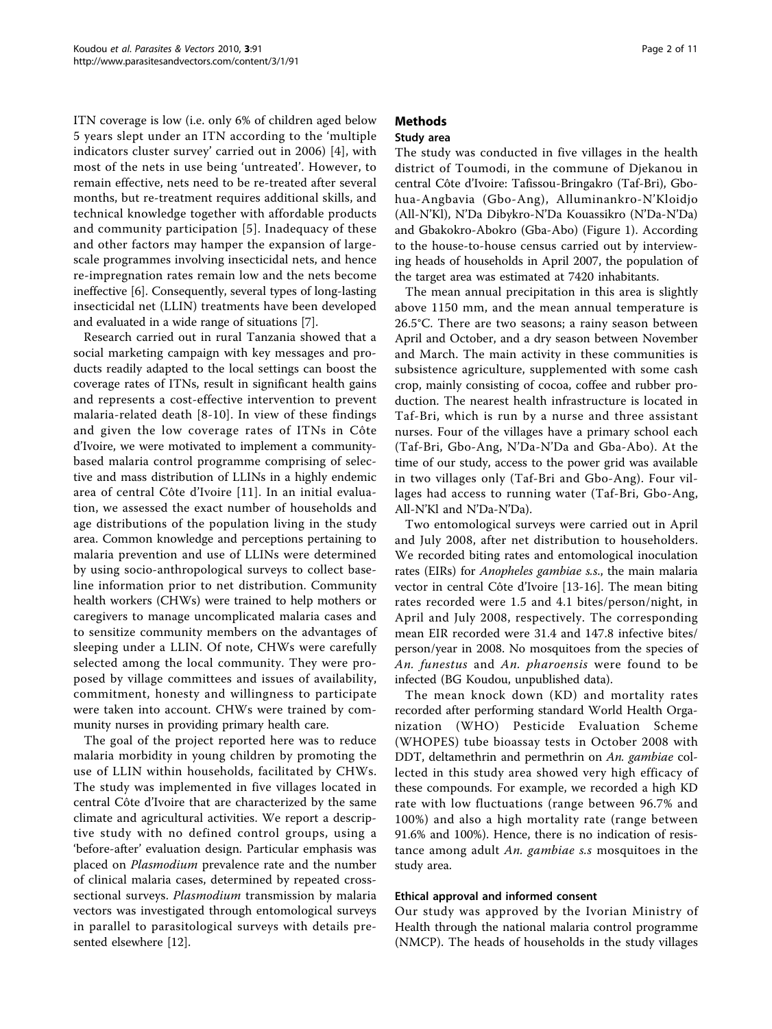ITN coverage is low (i.e. only 6% of children aged below 5 years slept under an ITN according to the 'multiple indicators cluster survey' carried out in 2006) [[4](#page-9-0)], with most of the nets in use being 'untreated'. However, to remain effective, nets need to be re-treated after several months, but re-treatment requires additional skills, and technical knowledge together with affordable products and community participation [[5](#page-9-0)]. Inadequacy of these and other factors may hamper the expansion of largescale programmes involving insecticidal nets, and hence re-impregnation rates remain low and the nets become ineffective [\[6\]](#page-9-0). Consequently, several types of long-lasting insecticidal net (LLIN) treatments have been developed and evaluated in a wide range of situations [\[7](#page-9-0)].

Research carried out in rural Tanzania showed that a social marketing campaign with key messages and products readily adapted to the local settings can boost the coverage rates of ITNs, result in significant health gains and represents a cost-effective intervention to prevent malaria-related death [\[8-10\]](#page-9-0). In view of these findings and given the low coverage rates of ITNs in Côte d'Ivoire, we were motivated to implement a communitybased malaria control programme comprising of selective and mass distribution of LLINs in a highly endemic area of central Côte d'Ivoire [[11](#page-9-0)]. In an initial evaluation, we assessed the exact number of households and age distributions of the population living in the study area. Common knowledge and perceptions pertaining to malaria prevention and use of LLINs were determined by using socio-anthropological surveys to collect baseline information prior to net distribution. Community health workers (CHWs) were trained to help mothers or caregivers to manage uncomplicated malaria cases and to sensitize community members on the advantages of sleeping under a LLIN. Of note, CHWs were carefully selected among the local community. They were proposed by village committees and issues of availability, commitment, honesty and willingness to participate were taken into account. CHWs were trained by community nurses in providing primary health care.

The goal of the project reported here was to reduce malaria morbidity in young children by promoting the use of LLIN within households, facilitated by CHWs. The study was implemented in five villages located in central Côte d'Ivoire that are characterized by the same climate and agricultural activities. We report a descriptive study with no defined control groups, using a 'before-after' evaluation design. Particular emphasis was placed on *Plasmodium* prevalence rate and the number of clinical malaria cases, determined by repeated crosssectional surveys. Plasmodium transmission by malaria vectors was investigated through entomological surveys in parallel to parasitological surveys with details presented elsewhere [\[12\]](#page-9-0).

## Methods

### Study area

The study was conducted in five villages in the health district of Toumodi, in the commune of Djekanou in central Côte d'Ivoire: Tafissou-Bringakro (Taf-Bri), Gbohua-Angbavia (Gbo-Ang), Alluminankro-N'Kloidjo (All-N'Kl), N'Da Dibykro-N'Da Kouassikro (N'Da-N'Da) and Gbakokro-Abokro (Gba-Abo) (Figure [1](#page-2-0)). According to the house-to-house census carried out by interviewing heads of households in April 2007, the population of the target area was estimated at 7420 inhabitants.

The mean annual precipitation in this area is slightly above 1150 mm, and the mean annual temperature is 26.5°C. There are two seasons; a rainy season between April and October, and a dry season between November and March. The main activity in these communities is subsistence agriculture, supplemented with some cash crop, mainly consisting of cocoa, coffee and rubber production. The nearest health infrastructure is located in Taf-Bri, which is run by a nurse and three assistant nurses. Four of the villages have a primary school each (Taf-Bri, Gbo-Ang, N'Da-N'Da and Gba-Abo). At the time of our study, access to the power grid was available in two villages only (Taf-Bri and Gbo-Ang). Four villages had access to running water (Taf-Bri, Gbo-Ang, All-N'Kl and N'Da-N'Da).

Two entomological surveys were carried out in April and July 2008, after net distribution to householders. We recorded biting rates and entomological inoculation rates (EIRs) for Anopheles gambiae s.s., the main malaria vector in central Côte d'Ivoire [\[13-16\]](#page-9-0). The mean biting rates recorded were 1.5 and 4.1 bites/person/night, in April and July 2008, respectively. The corresponding mean EIR recorded were 31.4 and 147.8 infective bites/ person/year in 2008. No mosquitoes from the species of An. funestus and An. pharoensis were found to be infected (BG Koudou, unpublished data).

The mean knock down (KD) and mortality rates recorded after performing standard World Health Organization (WHO) Pesticide Evaluation Scheme (WHOPES) tube bioassay tests in October 2008 with DDT, deltamethrin and permethrin on An. gambiae collected in this study area showed very high efficacy of these compounds. For example, we recorded a high KD rate with low fluctuations (range between 96.7% and 100%) and also a high mortality rate (range between 91.6% and 100%). Hence, there is no indication of resistance among adult An. gambiae s.s mosquitoes in the study area.

#### Ethical approval and informed consent

Our study was approved by the Ivorian Ministry of Health through the national malaria control programme (NMCP). The heads of households in the study villages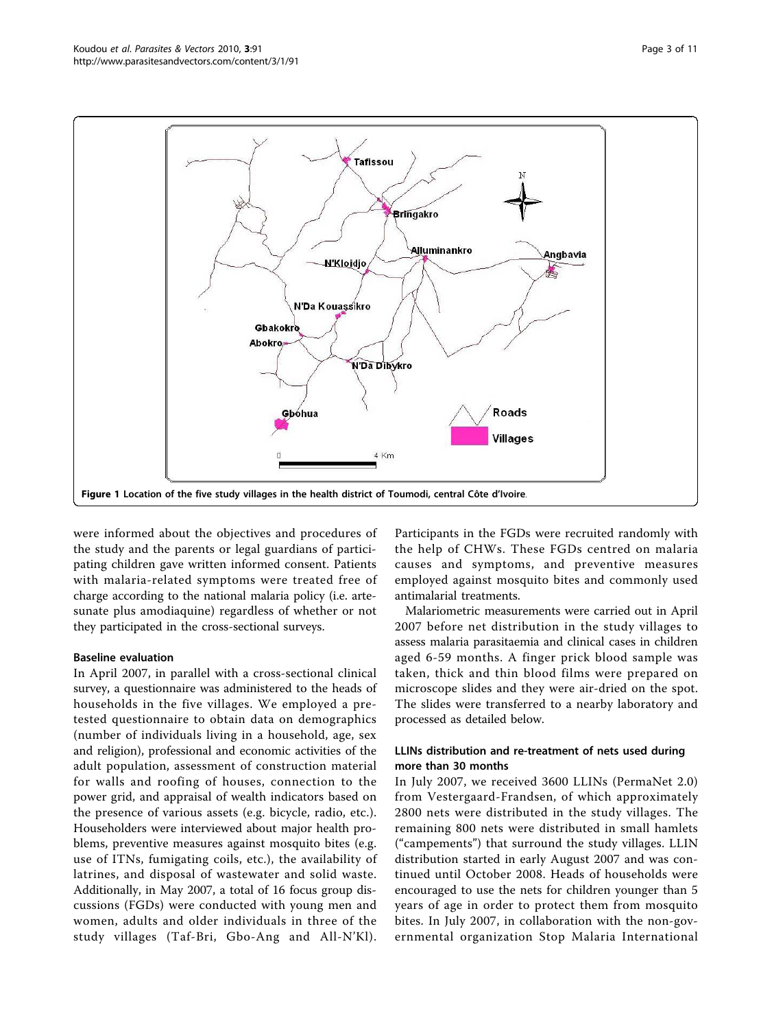<span id="page-2-0"></span>

were informed about the objectives and procedures of the study and the parents or legal guardians of participating children gave written informed consent. Patients with malaria-related symptoms were treated free of charge according to the national malaria policy (i.e. artesunate plus amodiaquine) regardless of whether or not they participated in the cross-sectional surveys.

#### Baseline evaluation

In April 2007, in parallel with a cross-sectional clinical survey, a questionnaire was administered to the heads of households in the five villages. We employed a pretested questionnaire to obtain data on demographics (number of individuals living in a household, age, sex and religion), professional and economic activities of the adult population, assessment of construction material for walls and roofing of houses, connection to the power grid, and appraisal of wealth indicators based on the presence of various assets (e.g. bicycle, radio, etc.). Householders were interviewed about major health problems, preventive measures against mosquito bites (e.g. use of ITNs, fumigating coils, etc.), the availability of latrines, and disposal of wastewater and solid waste. Additionally, in May 2007, a total of 16 focus group discussions (FGDs) were conducted with young men and women, adults and older individuals in three of the study villages (Taf-Bri, Gbo-Ang and All-N'Kl). Participants in the FGDs were recruited randomly with the help of CHWs. These FGDs centred on malaria causes and symptoms, and preventive measures employed against mosquito bites and commonly used antimalarial treatments.

Malariometric measurements were carried out in April 2007 before net distribution in the study villages to assess malaria parasitaemia and clinical cases in children aged 6-59 months. A finger prick blood sample was taken, thick and thin blood films were prepared on microscope slides and they were air-dried on the spot. The slides were transferred to a nearby laboratory and processed as detailed below.

#### LLINs distribution and re-treatment of nets used during more than 30 months

In July 2007, we received 3600 LLINs (PermaNet 2.0) from Vestergaard-Frandsen, of which approximately 2800 nets were distributed in the study villages. The remaining 800 nets were distributed in small hamlets ("campements") that surround the study villages. LLIN distribution started in early August 2007 and was continued until October 2008. Heads of households were encouraged to use the nets for children younger than 5 years of age in order to protect them from mosquito bites. In July 2007, in collaboration with the non-governmental organization Stop Malaria International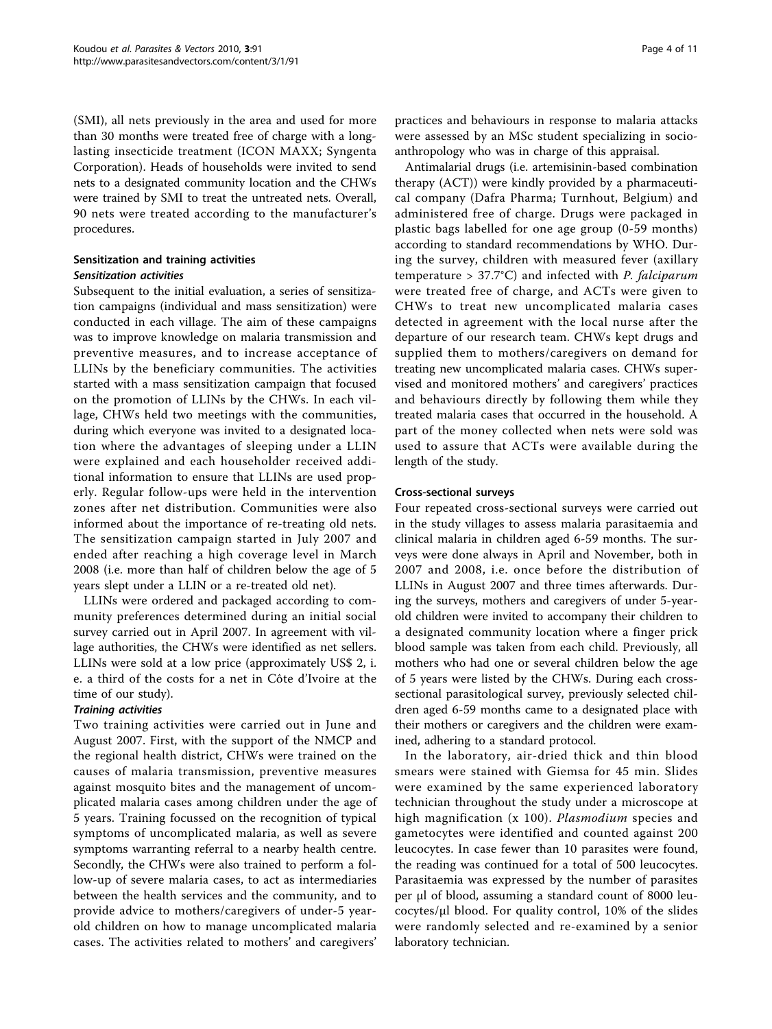(SMI), all nets previously in the area and used for more than 30 months were treated free of charge with a longlasting insecticide treatment (ICON MAXX; Syngenta Corporation). Heads of households were invited to send nets to a designated community location and the CHWs were trained by SMI to treat the untreated nets. Overall, 90 nets were treated according to the manufacturer's procedures.

#### Sensitization and training activities Sensitization activities

Subsequent to the initial evaluation, a series of sensitization campaigns (individual and mass sensitization) were conducted in each village. The aim of these campaigns was to improve knowledge on malaria transmission and preventive measures, and to increase acceptance of LLINs by the beneficiary communities. The activities started with a mass sensitization campaign that focused on the promotion of LLINs by the CHWs. In each village, CHWs held two meetings with the communities, during which everyone was invited to a designated location where the advantages of sleeping under a LLIN were explained and each householder received additional information to ensure that LLINs are used properly. Regular follow-ups were held in the intervention zones after net distribution. Communities were also informed about the importance of re-treating old nets. The sensitization campaign started in July 2007 and ended after reaching a high coverage level in March 2008 (i.e. more than half of children below the age of 5 years slept under a LLIN or a re-treated old net).

LLINs were ordered and packaged according to community preferences determined during an initial social survey carried out in April 2007. In agreement with village authorities, the CHWs were identified as net sellers. LLINs were sold at a low price (approximately US\$ 2, i. e. a third of the costs for a net in Côte d'Ivoire at the time of our study).

#### Training activities

Two training activities were carried out in June and August 2007. First, with the support of the NMCP and the regional health district, CHWs were trained on the causes of malaria transmission, preventive measures against mosquito bites and the management of uncomplicated malaria cases among children under the age of 5 years. Training focussed on the recognition of typical symptoms of uncomplicated malaria, as well as severe symptoms warranting referral to a nearby health centre. Secondly, the CHWs were also trained to perform a follow-up of severe malaria cases, to act as intermediaries between the health services and the community, and to provide advice to mothers/caregivers of under-5 yearold children on how to manage uncomplicated malaria cases. The activities related to mothers' and caregivers'

practices and behaviours in response to malaria attacks were assessed by an MSc student specializing in socioanthropology who was in charge of this appraisal.

Antimalarial drugs (i.e. artemisinin-based combination therapy (ACT)) were kindly provided by a pharmaceutical company (Dafra Pharma; Turnhout, Belgium) and administered free of charge. Drugs were packaged in plastic bags labelled for one age group (0-59 months) according to standard recommendations by WHO. During the survey, children with measured fever (axillary temperature  $> 37.7$ °C) and infected with *P. falciparum* were treated free of charge, and ACTs were given to CHWs to treat new uncomplicated malaria cases detected in agreement with the local nurse after the departure of our research team. CHWs kept drugs and supplied them to mothers/caregivers on demand for treating new uncomplicated malaria cases. CHWs supervised and monitored mothers' and caregivers' practices and behaviours directly by following them while they treated malaria cases that occurred in the household. A part of the money collected when nets were sold was used to assure that ACTs were available during the length of the study.

#### Cross-sectional surveys

Four repeated cross-sectional surveys were carried out in the study villages to assess malaria parasitaemia and clinical malaria in children aged 6-59 months. The surveys were done always in April and November, both in 2007 and 2008, i.e. once before the distribution of LLINs in August 2007 and three times afterwards. During the surveys, mothers and caregivers of under 5-yearold children were invited to accompany their children to a designated community location where a finger prick blood sample was taken from each child. Previously, all mothers who had one or several children below the age of 5 years were listed by the CHWs. During each crosssectional parasitological survey, previously selected children aged 6-59 months came to a designated place with their mothers or caregivers and the children were examined, adhering to a standard protocol.

In the laboratory, air-dried thick and thin blood smears were stained with Giemsa for 45 min. Slides were examined by the same experienced laboratory technician throughout the study under a microscope at high magnification (x 100). *Plasmodium* species and gametocytes were identified and counted against 200 leucocytes. In case fewer than 10 parasites were found, the reading was continued for a total of 500 leucocytes. Parasitaemia was expressed by the number of parasites per μl of blood, assuming a standard count of 8000 leucocytes/μl blood. For quality control, 10% of the slides were randomly selected and re-examined by a senior laboratory technician.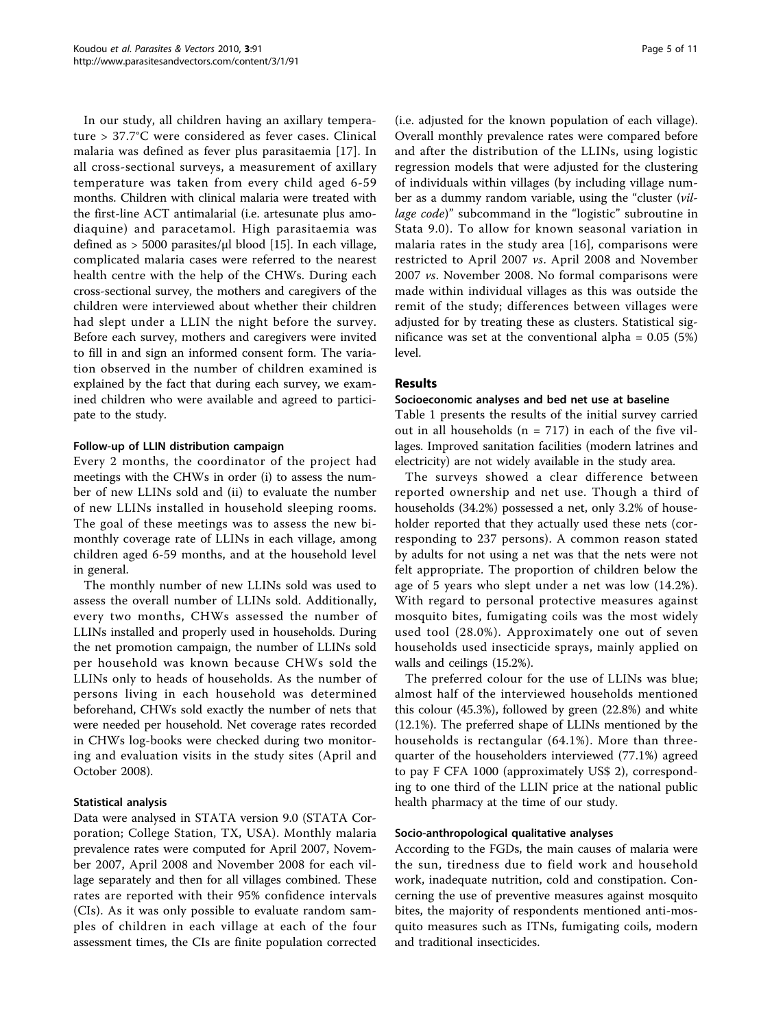In our study, all children having an axillary temperature > 37.7°C were considered as fever cases. Clinical malaria was defined as fever plus parasitaemia [\[17\]](#page-9-0). In all cross-sectional surveys, a measurement of axillary temperature was taken from every child aged 6-59 months. Children with clinical malaria were treated with the first-line ACT antimalarial (i.e. artesunate plus amodiaquine) and paracetamol. High parasitaemia was defined as  $> 5000$  parasites/ $\mu$ l blood [\[15](#page-9-0)]. In each village, complicated malaria cases were referred to the nearest health centre with the help of the CHWs. During each cross-sectional survey, the mothers and caregivers of the children were interviewed about whether their children had slept under a LLIN the night before the survey. Before each survey, mothers and caregivers were invited to fill in and sign an informed consent form. The variation observed in the number of children examined is explained by the fact that during each survey, we examined children who were available and agreed to participate to the study.

#### Follow-up of LLIN distribution campaign

Every 2 months, the coordinator of the project had meetings with the CHWs in order (i) to assess the number of new LLINs sold and (ii) to evaluate the number of new LLINs installed in household sleeping rooms. The goal of these meetings was to assess the new bimonthly coverage rate of LLINs in each village, among children aged 6-59 months, and at the household level in general.

The monthly number of new LLINs sold was used to assess the overall number of LLINs sold. Additionally, every two months, CHWs assessed the number of LLINs installed and properly used in households. During the net promotion campaign, the number of LLINs sold per household was known because CHWs sold the LLINs only to heads of households. As the number of persons living in each household was determined beforehand, CHWs sold exactly the number of nets that were needed per household. Net coverage rates recorded in CHWs log-books were checked during two monitoring and evaluation visits in the study sites (April and October 2008).

#### Statistical analysis

Data were analysed in STATA version 9.0 (STATA Corporation; College Station, TX, USA). Monthly malaria prevalence rates were computed for April 2007, November 2007, April 2008 and November 2008 for each village separately and then for all villages combined. These rates are reported with their 95% confidence intervals (CIs). As it was only possible to evaluate random samples of children in each village at each of the four assessment times, the CIs are finite population corrected

(i.e. adjusted for the known population of each village). Overall monthly prevalence rates were compared before and after the distribution of the LLINs, using logistic regression models that were adjusted for the clustering of individuals within villages (by including village number as a dummy random variable, using the "cluster (village code)" subcommand in the "logistic" subroutine in Stata 9.0). To allow for known seasonal variation in malaria rates in the study area [[16\]](#page-9-0), comparisons were restricted to April 2007 vs. April 2008 and November 2007 vs. November 2008. No formal comparisons were made within individual villages as this was outside the remit of the study; differences between villages were adjusted for by treating these as clusters. Statistical significance was set at the conventional alpha =  $0.05$  (5%) level.

#### Results

#### Socioeconomic analyses and bed net use at baseline

Table [1](#page-5-0) presents the results of the initial survey carried out in all households ( $n = 717$ ) in each of the five villages. Improved sanitation facilities (modern latrines and electricity) are not widely available in the study area.

The surveys showed a clear difference between reported ownership and net use. Though a third of households (34.2%) possessed a net, only 3.2% of householder reported that they actually used these nets (corresponding to 237 persons). A common reason stated by adults for not using a net was that the nets were not felt appropriate. The proportion of children below the age of 5 years who slept under a net was low (14.2%). With regard to personal protective measures against mosquito bites, fumigating coils was the most widely used tool (28.0%). Approximately one out of seven households used insecticide sprays, mainly applied on walls and ceilings (15.2%).

The preferred colour for the use of LLINs was blue; almost half of the interviewed households mentioned this colour (45.3%), followed by green (22.8%) and white (12.1%). The preferred shape of LLINs mentioned by the households is rectangular (64.1%). More than threequarter of the householders interviewed (77.1%) agreed to pay F CFA 1000 (approximately US\$ 2), corresponding to one third of the LLIN price at the national public health pharmacy at the time of our study.

#### Socio-anthropological qualitative analyses

According to the FGDs, the main causes of malaria were the sun, tiredness due to field work and household work, inadequate nutrition, cold and constipation. Concerning the use of preventive measures against mosquito bites, the majority of respondents mentioned anti-mosquito measures such as ITNs, fumigating coils, modern and traditional insecticides.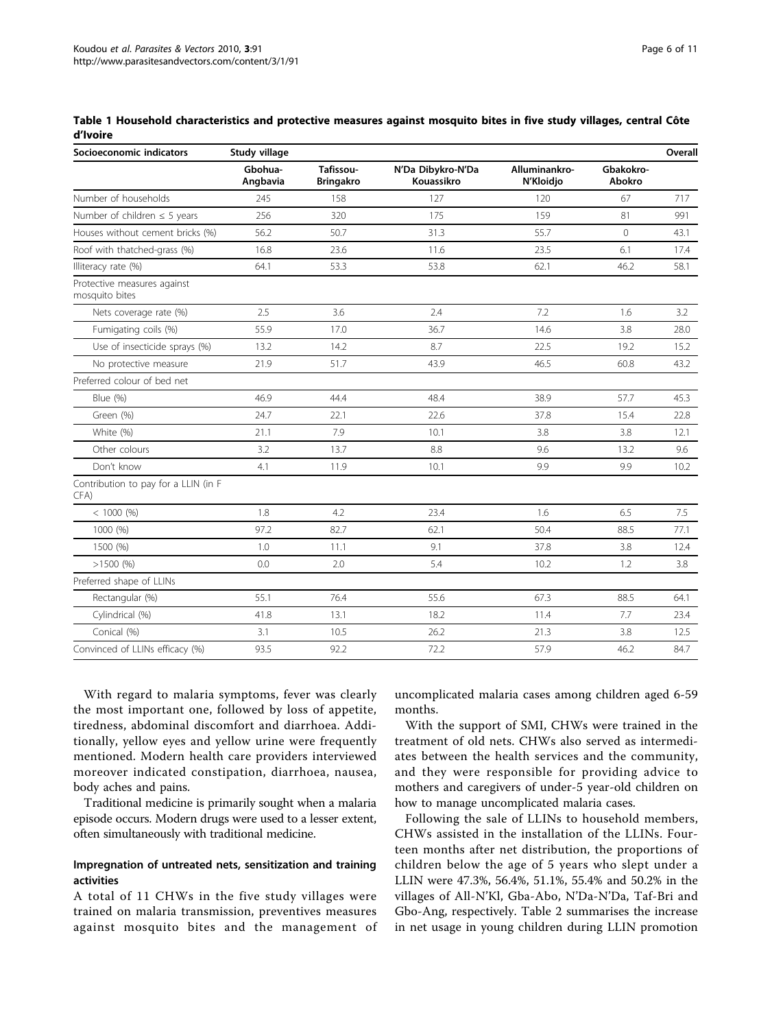| Socioeconomic indicators                      | Study village       |                               |                                 |                            |                     | Overall |
|-----------------------------------------------|---------------------|-------------------------------|---------------------------------|----------------------------|---------------------|---------|
|                                               | Gbohua-<br>Angbavia | Tafissou-<br><b>Bringakro</b> | N'Da Dibykro-N'Da<br>Kouassikro | Alluminankro-<br>N'Kloidjo | Gbakokro-<br>Abokro |         |
| Number of households                          | 245                 | 158                           | 127                             | 120                        | 67                  | 717     |
| Number of children $\leq$ 5 years             | 256                 | 320                           | 175                             | 159                        | 81                  | 991     |
| Houses without cement bricks (%)              | 56.2                | 50.7                          | 31.3                            | 55.7                       | $\circ$             | 43.1    |
| Roof with thatched-grass (%)                  | 16.8                | 23.6                          | 11.6                            | 23.5                       | 6.1                 | 17.4    |
| Illiteracy rate (%)                           | 64.1                | 53.3                          | 53.8                            | 62.1                       | 46.2                | 58.1    |
| Protective measures against<br>mosquito bites |                     |                               |                                 |                            |                     |         |
| Nets coverage rate (%)                        | 2.5                 | 3.6                           | 2.4                             | 7.2                        | 1.6                 | 3.2     |
| Fumigating coils (%)                          | 55.9                | 17.0                          | 36.7                            | 14.6                       | 3.8                 | 28.0    |
| Use of insecticide sprays (%)                 | 13.2                | 14.2                          | 8.7                             | 22.5                       | 19.2                | 15.2    |
| No protective measure                         | 21.9                | 51.7                          | 43.9                            | 46.5                       | 60.8                | 43.2    |
| Preferred colour of bed net                   |                     |                               |                                 |                            |                     |         |
| Blue (%)                                      | 46.9                | 44.4                          | 48.4                            | 38.9                       | 57.7                | 45.3    |
| Green (%)                                     | 24.7                | 22.1                          | 22.6                            | 37.8                       | 15.4                | 22.8    |
| White (%)                                     | 21.1                | 7.9                           | 10.1                            | 3.8                        | 3.8                 | 12.1    |
| Other colours                                 | 3.2                 | 13.7                          | 8.8                             | 9.6                        | 13.2                | 9.6     |
| Don't know                                    | 4.1                 | 11.9                          | 10.1                            | 9.9                        | 9.9                 | 10.2    |
| Contribution to pay for a LLIN (in F<br>CFA)  |                     |                               |                                 |                            |                     |         |
| $< 1000$ (%)                                  | 1.8                 | 4.2                           | 23.4                            | 1.6                        | 6.5                 | 7.5     |
| 1000 (%)                                      | 97.2                | 82.7                          | 62.1                            | 50.4                       | 88.5                | 77.1    |
| 1500 (%)                                      | 1.0                 | 11.1                          | 9.1                             | 37.8                       | 3.8                 | 12.4    |
| $>1500$ (%)                                   | 0.0                 | 2.0                           | 5.4                             | 10.2                       | 1.2                 | 3.8     |
| Preferred shape of LLINs                      |                     |                               |                                 |                            |                     |         |
| Rectangular (%)                               | 55.1                | 76.4                          | 55.6                            | 67.3                       | 88.5                | 64.1    |
| Cylindrical (%)                               | 41.8                | 13.1                          | 18.2                            | 11.4                       | 7.7                 | 23.4    |
| Conical (%)                                   | 3.1                 | 10.5                          | 26.2                            | 21.3                       | 3.8                 | 12.5    |
| Convinced of LLINs efficacy (%)               | 93.5                | 92.2                          | 72.2                            | 57.9                       | 46.2                | 84.7    |

<span id="page-5-0"></span>Table 1 Household characteristics and protective measures against mosquito bites in five study villages, central Côte d'Ivoire

With regard to malaria symptoms, fever was clearly the most important one, followed by loss of appetite, tiredness, abdominal discomfort and diarrhoea. Additionally, yellow eyes and yellow urine were frequently mentioned. Modern health care providers interviewed moreover indicated constipation, diarrhoea, nausea, body aches and pains.

Traditional medicine is primarily sought when a malaria episode occurs. Modern drugs were used to a lesser extent, often simultaneously with traditional medicine.

#### Impregnation of untreated nets, sensitization and training activities

A total of 11 CHWs in the five study villages were trained on malaria transmission, preventives measures against mosquito bites and the management of uncomplicated malaria cases among children aged 6-59 months.

With the support of SMI, CHWs were trained in the treatment of old nets. CHWs also served as intermediates between the health services and the community, and they were responsible for providing advice to mothers and caregivers of under-5 year-old children on how to manage uncomplicated malaria cases.

Following the sale of LLINs to household members, CHWs assisted in the installation of the LLINs. Fourteen months after net distribution, the proportions of children below the age of 5 years who slept under a LLIN were 47.3%, 56.4%, 51.1%, 55.4% and 50.2% in the villages of All-N'Kl, Gba-Abo, N'Da-N'Da, Taf-Bri and Gbo-Ang, respectively. Table [2](#page-6-0) summarises the increase in net usage in young children during LLIN promotion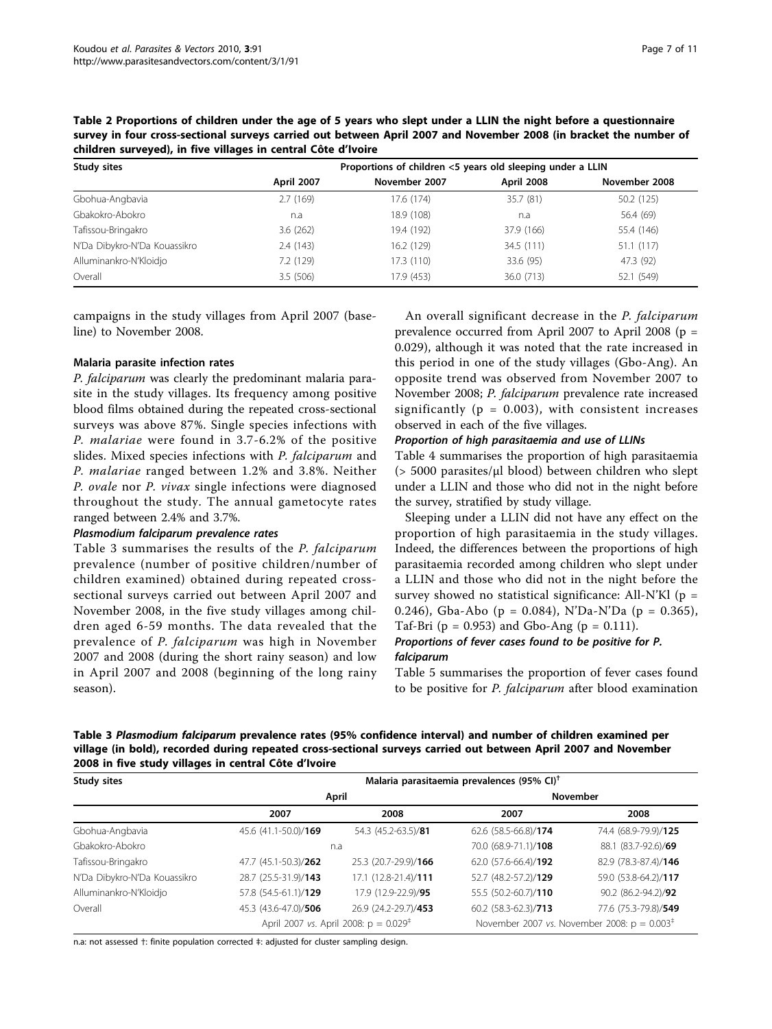| <b>Study sites</b>           | Proportions of children <5 years old sleeping under a LLIN |               |            |               |  |  |
|------------------------------|------------------------------------------------------------|---------------|------------|---------------|--|--|
|                              | <b>April 2007</b>                                          | November 2007 | April 2008 | November 2008 |  |  |
| Gbohua-Angbavia              | 2.7(169)                                                   | 17.6 (174)    | 35.7 (81)  | 50.2 (125)    |  |  |
| Gbakokro-Abokro              | n.a                                                        | 18.9 (108)    | n.a        | 56.4 (69)     |  |  |
| Tafissou-Bringakro           | 3.6(262)                                                   | 19.4 (192)    | 37.9 (166) | 55.4 (146)    |  |  |
| N'Da Dibykro-N'Da Kouassikro | 2.4(143)                                                   | 16.2 (129)    | 34.5 (111) | 51.1(117)     |  |  |
| Alluminankro-N'Kloidjo       | 7.2 (129)                                                  | 17.3 (110)    | 33.6 (95)  | 47.3 (92)     |  |  |
| Overall                      | 3.5(506)                                                   | 17.9 (453)    | 36.0 (713) | 52.1 (549)    |  |  |

<span id="page-6-0"></span>Table 2 Proportions of children under the age of 5 years who slept under a LLIN the night before a questionnaire survey in four cross-sectional surveys carried out between April 2007 and November 2008 (in bracket the number of children surveyed), in five villages in central Côte d'Ivoire

campaigns in the study villages from April 2007 (baseline) to November 2008.

#### Malaria parasite infection rates

P. falciparum was clearly the predominant malaria parasite in the study villages. Its frequency among positive blood films obtained during the repeated cross-sectional surveys was above 87%. Single species infections with P. malariae were found in 3.7-6.2% of the positive slides. Mixed species infections with P. falciparum and P. malariae ranged between 1.2% and 3.8%. Neither P. ovale nor P. vivax single infections were diagnosed throughout the study. The annual gametocyte rates ranged between 2.4% and 3.7%.

#### Plasmodium falciparum prevalence rates

Table 3 summarises the results of the P. falciparum prevalence (number of positive children/number of children examined) obtained during repeated crosssectional surveys carried out between April 2007 and November 2008, in the five study villages among children aged 6-59 months. The data revealed that the prevalence of P. falciparum was high in November 2007 and 2008 (during the short rainy season) and low in April 2007 and 2008 (beginning of the long rainy season).

An overall significant decrease in the P. falciparum prevalence occurred from April 2007 to April 2008 (p = 0.029), although it was noted that the rate increased in this period in one of the study villages (Gbo-Ang). An opposite trend was observed from November 2007 to November 2008; P. falciparum prevalence rate increased significantly ( $p = 0.003$ ), with consistent increases observed in each of the five villages.

#### Proportion of high parasitaemia and use of LLINs

Table [4](#page-7-0) summarises the proportion of high parasitaemia (> 5000 parasites/μl blood) between children who slept under a LLIN and those who did not in the night before the survey, stratified by study village.

Sleeping under a LLIN did not have any effect on the proportion of high parasitaemia in the study villages. Indeed, the differences between the proportions of high parasitaemia recorded among children who slept under a LLIN and those who did not in the night before the survey showed no statistical significance: All-N'Kl ( $p =$ 0.246), Gba-Abo (p = 0.084), N'Da-N'Da (p = 0.365), Taf-Bri ( $p = 0.953$ ) and Gbo-Ang ( $p = 0.111$ ).

#### Proportions of fever cases found to be positive for P. falciparum

Table [5](#page-7-0) summarises the proportion of fever cases found to be positive for P. falciparum after blood examination

|  | Table 3 Plasmodium falciparum prevalence rates (95% confidence interval) and number of children examined per    |  |  |  |  |
|--|-----------------------------------------------------------------------------------------------------------------|--|--|--|--|
|  | village (in bold), recorded during repeated cross-sectional surveys carried out between April 2007 and November |  |  |  |  |
|  | 2008 in five study villages in central Côte d'Ivoire                                                            |  |  |  |  |

| Study sites                  |                      |                                                   | Malaria parasitaemia prevalences (95% CI) <sup>†</sup>  |                      |  |  |  |
|------------------------------|----------------------|---------------------------------------------------|---------------------------------------------------------|----------------------|--|--|--|
|                              |                      | April                                             | <b>November</b>                                         |                      |  |  |  |
|                              | 2007                 | 2008                                              |                                                         | 2008                 |  |  |  |
| Gbohua-Angbavia              | 45.6 (41.1-50.0)/169 | 54.3 (45.2-63.5)/81                               | 62.6 (58.5-66.8)/174                                    | 74.4 (68.9-79.9)/125 |  |  |  |
| Gbakokro-Abokro              |                      | n.a                                               |                                                         | 88.1 (83.7-92.6)/69  |  |  |  |
| Tafissou-Bringakro           | 47.7 (45.1-50.3)/262 | 25.3 (20.7-29.9)/166                              | 62.0 (57.6-66.4)/192                                    | 82.9 (78.3-87.4)/146 |  |  |  |
| N'Da Dibykro-N'Da Kouassikro | 28.7 (25.5-31.9)/143 | 17.1 (12.8-21.4)/111                              | 52.7 (48.2-57.2)/129                                    | 59.0 (53.8-64.2)/117 |  |  |  |
| Alluminankro-N'Kloidjo       | 57.8 (54.5-61.1)/129 | 17.9 (12.9-22.9)/95                               | 55.5 (50.2-60.7)/110                                    | 90.2 (86.2-94.2)/92  |  |  |  |
| Overall                      | 45.3 (43.6-47.0)/506 | 26.9 (24.2-29.7)/453                              | 60.2 (58.3-62.3)/713                                    | 77.6 (75.3-79.8)/549 |  |  |  |
|                              |                      | April 2007 vs. April 2008: $p = 0.029^{\ddagger}$ | November 2007 vs. November 2008: $p = 0.003^{\ddagger}$ |                      |  |  |  |

n.a: not assessed †: finite population corrected ‡: adjusted for cluster sampling design.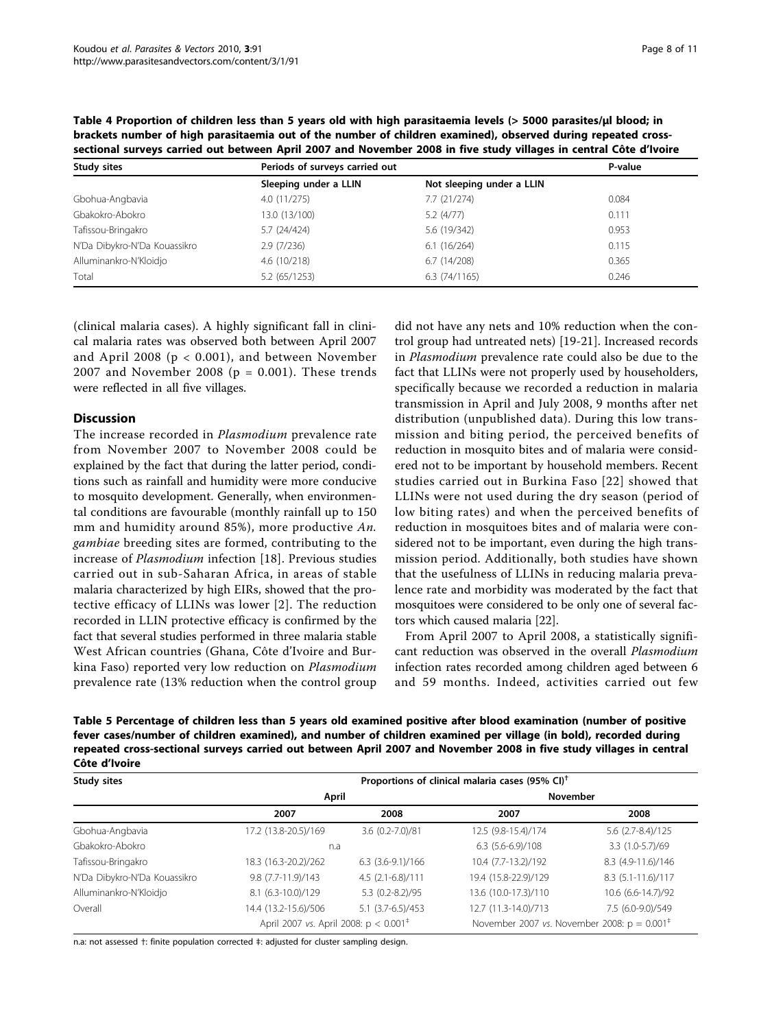| sectional surveys carried out between April 2007 and November 2008 in five study villages in central Cote d'Ivoire |                                |                           |         |  |  |  |
|--------------------------------------------------------------------------------------------------------------------|--------------------------------|---------------------------|---------|--|--|--|
| <b>Study sites</b>                                                                                                 | Periods of surveys carried out |                           | P-value |  |  |  |
|                                                                                                                    | Sleeping under a LLIN          | Not sleeping under a LLIN |         |  |  |  |
| Gbohua-Angbavia                                                                                                    | 4.0(11/275)                    | 7.7(21/274)               | 0.084   |  |  |  |
| Gbakokro-Abokro                                                                                                    | 13.0 (13/100)                  | 5.2(4/77)                 | 0.111   |  |  |  |
| Tafissou-Bringakro                                                                                                 | 5.7 (24/424)                   | 5.6 (19/342)              | 0.953   |  |  |  |
| N'Da Dibykro-N'Da Kouassikro                                                                                       | 2.9(7/236)                     | 6.1(16/264)               | 0.115   |  |  |  |
| Alluminankro-N'Kloidjo                                                                                             | 4.6(10/218)                    | 6.7(14/208)               | 0.365   |  |  |  |
| Total                                                                                                              | 5.2 (65/1253)                  | 6.3(74/1165)              | 0.246   |  |  |  |

<span id="page-7-0"></span>Table 4 Proportion of children less than 5 years old with high parasitaemia levels (> 5000 parasites/ul blood; in brackets number of high parasitaemia out of the number of children examined), observed during repeated crosssectional surveys carried out between April 2007 and November 2008 in five study villages in central Côte d'Ivoire

(clinical malaria cases). A highly significant fall in clinical malaria rates was observed both between April 2007 and April 2008 (p < 0.001), and between November 2007 and November 2008 ( $p = 0.001$ ). These trends were reflected in all five villages.

#### **Discussion**

The increase recorded in *Plasmodium* prevalence rate from November 2007 to November 2008 could be explained by the fact that during the latter period, conditions such as rainfall and humidity were more conducive to mosquito development. Generally, when environmental conditions are favourable (monthly rainfall up to 150 mm and humidity around 85%), more productive An. gambiae breeding sites are formed, contributing to the increase of Plasmodium infection [[18](#page-9-0)]. Previous studies carried out in sub-Saharan Africa, in areas of stable malaria characterized by high EIRs, showed that the protective efficacy of LLINs was lower [[2](#page-9-0)]. The reduction recorded in LLIN protective efficacy is confirmed by the fact that several studies performed in three malaria stable West African countries (Ghana, Côte d'Ivoire and Burkina Faso) reported very low reduction on Plasmodium prevalence rate (13% reduction when the control group

did not have any nets and 10% reduction when the control group had untreated nets) [[19-21](#page-9-0)]. Increased records in Plasmodium prevalence rate could also be due to the fact that LLINs were not properly used by householders, specifically because we recorded a reduction in malaria transmission in April and July 2008, 9 months after net distribution (unpublished data). During this low transmission and biting period, the perceived benefits of reduction in mosquito bites and of malaria were considered not to be important by household members. Recent studies carried out in Burkina Faso [[22](#page-9-0)] showed that LLINs were not used during the dry season (period of low biting rates) and when the perceived benefits of reduction in mosquitoes bites and of malaria were considered not to be important, even during the high transmission period. Additionally, both studies have shown that the usefulness of LLINs in reducing malaria prevalence rate and morbidity was moderated by the fact that mosquitoes were considered to be only one of several factors which caused malaria [\[22\]](#page-9-0).

From April 2007 to April 2008, a statistically significant reduction was observed in the overall Plasmodium infection rates recorded among children aged between 6 and 59 months. Indeed, activities carried out few

Table 5 Percentage of children less than 5 years old examined positive after blood examination (number of positive fever cases/number of children examined), and number of children examined per village (in bold), recorded during repeated cross-sectional surveys carried out between April 2007 and November 2008 in five study villages in central Côte d'Ivoire

| Study sites                  |                                                   |                    | Proportions of clinical malaria cases (95% CI) <sup>†</sup> |                    |  |  |  |
|------------------------------|---------------------------------------------------|--------------------|-------------------------------------------------------------|--------------------|--|--|--|
|                              | April                                             |                    | <b>November</b>                                             |                    |  |  |  |
|                              | 2007                                              | 2008               | 2007                                                        | 2008               |  |  |  |
| Gbohua-Angbavia              | 17.2 (13.8-20.5)/169                              | 3.6 (0.2-7.0)/81   | 12.5 (9.8-15.4)/174                                         | 5.6 (2.7-8.4)/125  |  |  |  |
| Gbakokro-Abokro              | n.a                                               |                    |                                                             | 3.3 (1.0-5.7)/69   |  |  |  |
| Tafissou-Bringakro           | 18.3 (16.3-20.2)/262                              | $6.3(3.6-9.1)/166$ | 10.4 (7.7-13.2)/192                                         | 8.3 (4.9-11.6)/146 |  |  |  |
| N'Da Dibykro-N'Da Kouassikro | 9.8 (7.7-11.9)/143                                | $4.5(2.1-6.8)/111$ | 19.4 (15.8-22.9)/129                                        | 8.3 (5.1-11.6)/117 |  |  |  |
| Alluminankro-N'Kloidjo       | 8.1 (6.3-10.0)/129                                | 5.3 (0.2-8.2)/95   | 13.6 (10.0-17.3)/110                                        | 10.6 (6.6-14.7)/92 |  |  |  |
| Overall                      | 14.4 (13.2-15.6)/506                              | 5.1 (3.7-6.5)/453  | 12.7 (11.3-14.0)/713                                        | 7.5 (6.0-9.0)/549  |  |  |  |
|                              | April 2007 vs. April 2008: $p < 0.001^{\ddagger}$ |                    | November 2007 vs. November 2008: $p = 0.001^{\ddagger}$     |                    |  |  |  |

n.a: not assessed †: finite population corrected ‡: adjusted for cluster sampling design.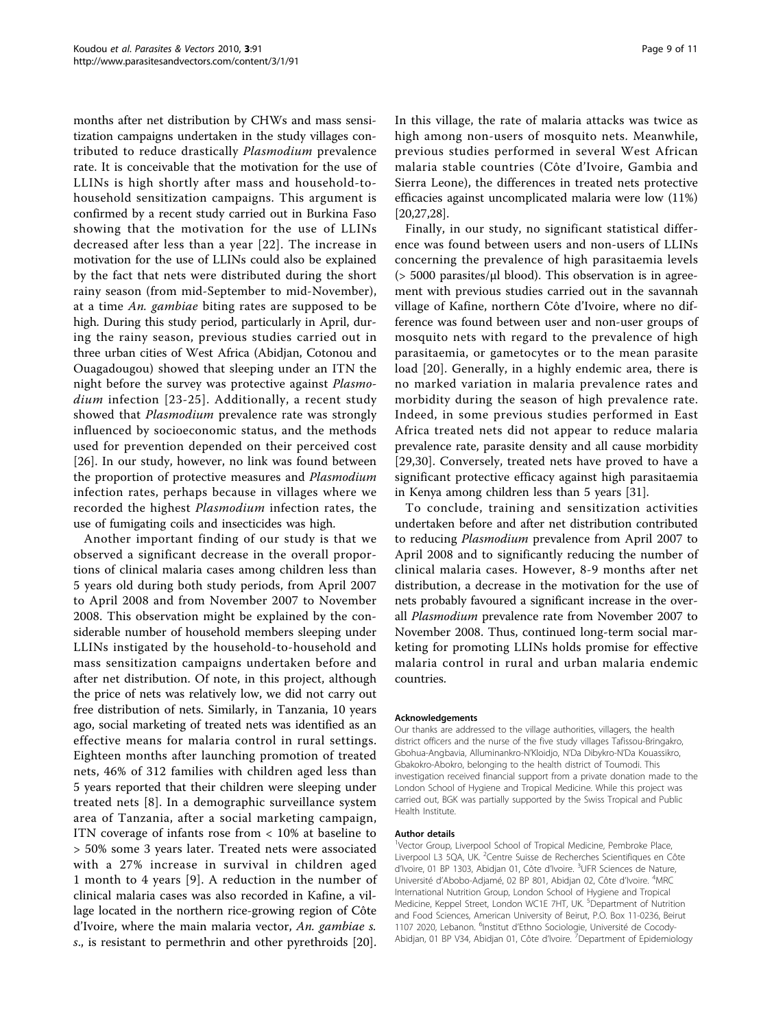months after net distribution by CHWs and mass sensitization campaigns undertaken in the study villages contributed to reduce drastically Plasmodium prevalence rate. It is conceivable that the motivation for the use of LLINs is high shortly after mass and household-tohousehold sensitization campaigns. This argument is confirmed by a recent study carried out in Burkina Faso showing that the motivation for the use of LLINs decreased after less than a year [[22\]](#page-9-0). The increase in motivation for the use of LLINs could also be explained by the fact that nets were distributed during the short rainy season (from mid-September to mid-November), at a time  $An$ . gambiae biting rates are supposed to be high. During this study period, particularly in April, during the rainy season, previous studies carried out in three urban cities of West Africa (Abidjan, Cotonou and Ouagadougou) showed that sleeping under an ITN the night before the survey was protective against Plasmo-dium infection [[23](#page-9-0)-[25\]](#page-9-0). Additionally, a recent study showed that *Plasmodium* prevalence rate was strongly influenced by socioeconomic status, and the methods used for prevention depended on their perceived cost [[26\]](#page-9-0). In our study, however, no link was found between the proportion of protective measures and Plasmodium infection rates, perhaps because in villages where we recorded the highest Plasmodium infection rates, the use of fumigating coils and insecticides was high.

Another important finding of our study is that we observed a significant decrease in the overall proportions of clinical malaria cases among children less than 5 years old during both study periods, from April 2007 to April 2008 and from November 2007 to November 2008. This observation might be explained by the considerable number of household members sleeping under LLINs instigated by the household-to-household and mass sensitization campaigns undertaken before and after net distribution. Of note, in this project, although the price of nets was relatively low, we did not carry out free distribution of nets. Similarly, in Tanzania, 10 years ago, social marketing of treated nets was identified as an effective means for malaria control in rural settings. Eighteen months after launching promotion of treated nets, 46% of 312 families with children aged less than 5 years reported that their children were sleeping under treated nets [\[8\]](#page-9-0). In a demographic surveillance system area of Tanzania, after a social marketing campaign, ITN coverage of infants rose from < 10% at baseline to > 50% some 3 years later. Treated nets were associated with a 27% increase in survival in children aged 1 month to 4 years [[9\]](#page-9-0). A reduction in the number of clinical malaria cases was also recorded in Kafine, a village located in the northern rice-growing region of Côte d'Ivoire, where the main malaria vector, An. gambiae s. s., is resistant to permethrin and other pyrethroids [\[20](#page-9-0)]. In this village, the rate of malaria attacks was twice as high among non-users of mosquito nets. Meanwhile, previous studies performed in several West African malaria stable countries (Côte d'Ivoire, Gambia and Sierra Leone), the differences in treated nets protective efficacies against uncomplicated malaria were low (11%) [[20,27,28](#page-9-0)].

Finally, in our study, no significant statistical difference was found between users and non-users of LLINs concerning the prevalence of high parasitaemia levels (> 5000 parasites/μl blood). This observation is in agreement with previous studies carried out in the savannah village of Kafine, northern Côte d'Ivoire, where no difference was found between user and non-user groups of mosquito nets with regard to the prevalence of high parasitaemia, or gametocytes or to the mean parasite load [\[20\]](#page-9-0). Generally, in a highly endemic area, there is no marked variation in malaria prevalence rates and morbidity during the season of high prevalence rate. Indeed, in some previous studies performed in East Africa treated nets did not appear to reduce malaria prevalence rate, parasite density and all cause morbidity [[29,30](#page-9-0)]. Conversely, treated nets have proved to have a significant protective efficacy against high parasitaemia in Kenya among children less than 5 years [[31\]](#page-10-0).

To conclude, training and sensitization activities undertaken before and after net distribution contributed to reducing Plasmodium prevalence from April 2007 to April 2008 and to significantly reducing the number of clinical malaria cases. However, 8-9 months after net distribution, a decrease in the motivation for the use of nets probably favoured a significant increase in the overall Plasmodium prevalence rate from November 2007 to November 2008. Thus, continued long-term social marketing for promoting LLINs holds promise for effective malaria control in rural and urban malaria endemic countries.

#### Acknowledgements

Our thanks are addressed to the village authorities, villagers, the health district officers and the nurse of the five study villages Tafissou-Bringakro, Gbohua-Angbavia, Alluminankro-N'Kloidjo, N'Da Dibykro-N'Da Kouassikro, Gbakokro-Abokro, belonging to the health district of Toumodi. This investigation received financial support from a private donation made to the London School of Hygiene and Tropical Medicine. While this project was carried out, BGK was partially supported by the Swiss Tropical and Public Health Institute.

#### Author details

<sup>1</sup>Vector Group, Liverpool School of Tropical Medicine, Pembroke Place Liverpool L3 5QA, UK. <sup>2</sup>Centre Suisse de Recherches Scientifiques en Côte d'Ivoire, 01 BP 1303, Abidjan 01, Côte d'Ivoire. <sup>3</sup>UFR Sciences de Nature Université d'Abobo-Adjamé, 02 BP 801, Abidjan 02, Côte d'Ivoire. <sup>4</sup>MRC International Nutrition Group, London School of Hygiene and Tropical Medicine, Keppel Street, London WC1E 7HT, UK. <sup>5</sup>Department of Nutrition and Food Sciences, American University of Beirut, P.O. Box 11-0236, Beirut 1107 2020, Lebanon. <sup>6</sup>Institut d'Ethno Sociologie, Université de Cocody-Abidjan, 01 BP V34, Abidjan 01, Côte d'Ivoire. 7Department of Epidemiology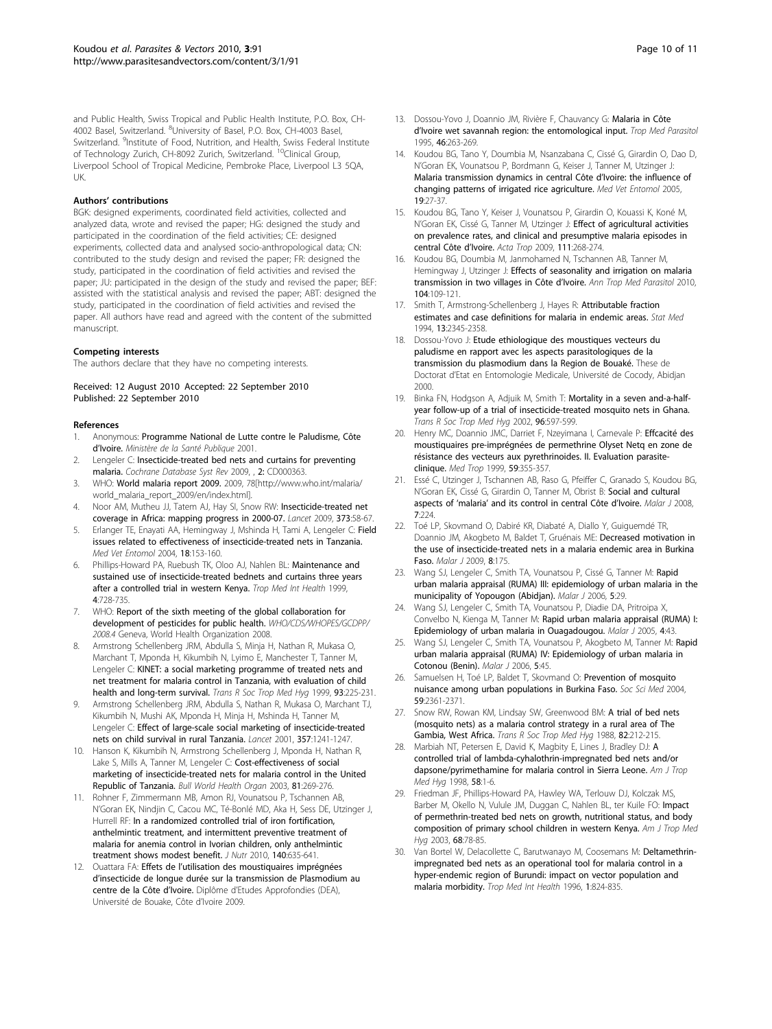<span id="page-9-0"></span>and Public Health, Swiss Tropical and Public Health Institute, P.O. Box, CH-4002 Basel, Switzerland. <sup>8</sup>University of Basel, P.O. Box, CH-4003 Basel, Switzerland. <sup>9</sup>Institute of Food, Nutrition, and Health, Swiss Federal Institute of Technology Zurich, CH-8092 Zurich, Switzerland. <sup>10</sup>Clinical Group, Liverpool School of Tropical Medicine, Pembroke Place, Liverpool L3 5QA, UK.

#### Authors' contributions

BGK: designed experiments, coordinated field activities, collected and analyzed data, wrote and revised the paper; HG: designed the study and participated in the coordination of the field activities; CE: designed experiments, collected data and analysed socio-anthropological data; CN: contributed to the study design and revised the paper; FR: designed the study, participated in the coordination of field activities and revised the paper; JU: participated in the design of the study and revised the paper; BEF: assisted with the statistical analysis and revised the paper; ABT: designed the study, participated in the coordination of field activities and revised the paper. All authors have read and agreed with the content of the submitted manuscript.

#### Competing interests

The authors declare that they have no competing interests.

Received: 12 August 2010 Accepted: 22 September 2010 Published: 22 September 2010

#### References

- Anonymous: Programme National de Lutte contre le Paludisme, Côte d'Ivoire. Ministère de la Santé Publique 2001.
- 2. Lengeler C: Insecticide-treated bed nets and curtains for preventing malaria. Cochrane Database Syst Rev 2009, , 2: CD000363.
- 3. WHO: World malaria report 2009. 2009, 78[[http://www.who.int/malaria/](http://www.who.int/malaria/world_malaria_report_2009/en/index.html) [world\\_malaria\\_report\\_2009/en/index.html\]](http://www.who.int/malaria/world_malaria_report_2009/en/index.html).
- 4. Noor AM, Mutheu JJ, Tatem AJ, Hay SI, Snow RW: [Insecticide-treated net](http://www.ncbi.nlm.nih.gov/pubmed/19019422?dopt=Abstract) [coverage in Africa: mapping progress in 2000-07.](http://www.ncbi.nlm.nih.gov/pubmed/19019422?dopt=Abstract) Lancet 2009, 373:58-67.
- 5. Erlanger TE, Enayati AA, Hemingway J, Mshinda H, Tami A, Lengeler C: [Field](http://www.ncbi.nlm.nih.gov/pubmed/15189240?dopt=Abstract) [issues related to effectiveness of insecticide-treated nets in Tanzania.](http://www.ncbi.nlm.nih.gov/pubmed/15189240?dopt=Abstract) Med Vet Entomol 2004, 18:153-160.
- 6. Phillips-Howard PA, Ruebush TK, Oloo AJ, Nahlen BL: [Maintenance and](http://www.ncbi.nlm.nih.gov/pubmed/10588766?dopt=Abstract) [sustained use of insecticide-treated bednets and curtains three years](http://www.ncbi.nlm.nih.gov/pubmed/10588766?dopt=Abstract) [after a controlled trial in western Kenya.](http://www.ncbi.nlm.nih.gov/pubmed/10588766?dopt=Abstract) Trop Med Int Health 1999, 4:728-735.
- 7. WHO: Report of the sixth meeting of the global collaboration for development of pesticides for public health. WHO/CDS/WHOPES/GCDPP/ 2008.4 Geneva, World Health Organization 2008.
- 8. Armstrong Schellenberg JRM, Abdulla S, Minja H, Nathan R, Mukasa O, Marchant T, Mponda H, Kikumbih N, Lyimo E, Manchester T, Tanner M, Lengeler C: [KINET: a social marketing programme of treated nets and](http://www.ncbi.nlm.nih.gov/pubmed/10492745?dopt=Abstract) [net treatment for malaria control in Tanzania, with evaluation of child](http://www.ncbi.nlm.nih.gov/pubmed/10492745?dopt=Abstract) [health and long-term survival.](http://www.ncbi.nlm.nih.gov/pubmed/10492745?dopt=Abstract) Trans R Soc Trop Med Hyg 1999, 93:225-231.
- 9. Armstrong Schellenberg JRM, Abdulla S, Nathan R, Mukasa O, Marchant TJ, Kikumbih N, Mushi AK, Mponda H, Minja H, Mshinda H, Tanner M, Lengeler C: [Effect of large-scale social marketing of insecticide-treated](http://www.ncbi.nlm.nih.gov/pubmed/11418148?dopt=Abstract) [nets on child survival in rural Tanzania.](http://www.ncbi.nlm.nih.gov/pubmed/11418148?dopt=Abstract) Lancet 2001, 357:1241-1247.
- 10. Hanson K, Kikumbih N, Armstrong Schellenberg J, Mponda H, Nathan R, Lake S, Mills A, Tanner M, Lengeler C: [Cost-effectiveness of social](http://www.ncbi.nlm.nih.gov/pubmed/12764493?dopt=Abstract) [marketing of insecticide-treated nets for malaria control in the United](http://www.ncbi.nlm.nih.gov/pubmed/12764493?dopt=Abstract) [Republic of Tanzania.](http://www.ncbi.nlm.nih.gov/pubmed/12764493?dopt=Abstract) Bull World Health Organ 2003, 81:269-276.
- 11. Rohner F, Zimmermann MB, Amon RJ, Vounatsou P, Tschannen AB, N'Goran EK, Nindjin C, Cacou MC, Té-Bonlé MD, Aka H, Sess DE, Utzinger J, Hurrell RF: [In a randomized controlled trial of iron fortification,](http://www.ncbi.nlm.nih.gov/pubmed/20107144?dopt=Abstract) [anthelmintic treatment, and intermittent preventive treatment of](http://www.ncbi.nlm.nih.gov/pubmed/20107144?dopt=Abstract) [malaria for anemia control in Ivorian children, only anthelmintic](http://www.ncbi.nlm.nih.gov/pubmed/20107144?dopt=Abstract) [treatment shows modest benefit.](http://www.ncbi.nlm.nih.gov/pubmed/20107144?dopt=Abstract) J Nutr 2010, 140:635-641.
- 12. Ouattara FA: Effets de l'utilisation des moustiquaires imprégnées d'insecticide de longue durée sur la transmission de Plasmodium au centre de la Côte d'Ivoire. Diplôme d'Etudes Approfondies (DEA), Université de Bouake, Côte d'Ivoire 2009.
- 13. Dossou-Yovo J, Doannio JM, Rivière F, Chauvancy G: [Malaria in Côte](http://www.ncbi.nlm.nih.gov/pubmed/8826108?dopt=Abstract) d'[Ivoire wet savannah region: the entomological input.](http://www.ncbi.nlm.nih.gov/pubmed/8826108?dopt=Abstract) Trop Med Parasitol 1995, 46:263-269.
- 14. Koudou BG, Tano Y, Doumbia M, Nsanzabana C, Cissé G, Girardin O, Dao D, N'Goran EK, Vounatsou P, Bordmann G, Keiser J, Tanner M, Utzinger J: [Malaria transmission dynamics in central Côte d](http://www.ncbi.nlm.nih.gov/pubmed/15752174?dopt=Abstract)'Ivoire: the influence of [changing patterns of irrigated rice agriculture.](http://www.ncbi.nlm.nih.gov/pubmed/15752174?dopt=Abstract) Med Vet Entomol 2005, 19:27-37.
- 15. Koudou BG, Tano Y, Keiser J, Vounatsou P, Girardin O, Kouassi K, Koné M, N'Goran EK, Cissé G, Tanner M, Utzinger J: [Effect of agricultural activities](http://www.ncbi.nlm.nih.gov/pubmed/19450537?dopt=Abstract) [on prevalence rates, and clinical and presumptive malaria episodes in](http://www.ncbi.nlm.nih.gov/pubmed/19450537?dopt=Abstract) [central Côte d](http://www.ncbi.nlm.nih.gov/pubmed/19450537?dopt=Abstract)'Ivoire. Acta Trop 2009, 111:268-274.
- 16. Koudou BG, Doumbia M, Janmohamed N, Tschannen AB, Tanner M, Hemingway J, Utzinger J: [Effects of seasonality and irrigation on malaria](http://www.ncbi.nlm.nih.gov/pubmed/20406578?dopt=Abstract) [transmission in two villages in Côte d](http://www.ncbi.nlm.nih.gov/pubmed/20406578?dopt=Abstract)'Ivoire. Ann Trop Med Parasitol 2010, 104:109-121.
- 17. Smith T, Armstrong-Schellenberg J, Hayes R: [Attributable fraction](http://www.ncbi.nlm.nih.gov/pubmed/7855468?dopt=Abstract) [estimates and case definitions for malaria in endemic areas.](http://www.ncbi.nlm.nih.gov/pubmed/7855468?dopt=Abstract) Stat Med 1994, 13:2345-2358.
- 18. Dossou-Yovo J: Etude ethiologique des moustiques vecteurs du paludisme en rapport avec les aspects parasitologiques de la transmission du plasmodium dans la Region de Bouaké. These de Doctorat d'Etat en Entomologie Medicale, Université de Cocody, Abidjan 2000.
- 19. Binka FN, Hodgson A, Adjuik M, Smith T: [Mortality in a seven and-a-half](http://www.ncbi.nlm.nih.gov/pubmed/12625130?dopt=Abstract)[year follow-up of a trial of insecticide-treated mosquito nets in Ghana.](http://www.ncbi.nlm.nih.gov/pubmed/12625130?dopt=Abstract) .<br>Trans R Soc Trop Med Hyg 2002, 96:597-599.
- 20. Henry MC, Doannio JMC, Darriet F, Nzeyimana I, Carnevale P: Effcacité des moustiquaires pre-imprégnées de permethrine Olyset Netq en zone de résistance des vecteurs aux pyrethrinoides. II. Evaluation parasiteclinique. Med Trop 1999, 59:355-357.
- 21. Essé C, Utzinger J, Tschannen AB, Raso G, Pfeiffer C, Granado S, Koudou BG, N'Goran EK, Cissé G, Girardin O, Tanner M, Obrist B: [Social and cultural](http://www.ncbi.nlm.nih.gov/pubmed/18973663?dopt=Abstract) aspects of 'malaria' [and its control in central Côte d](http://www.ncbi.nlm.nih.gov/pubmed/18973663?dopt=Abstract)'Ivoire. Malar J 2008, 7:224.
- 22. Toé LP, Skovmand O, Dabiré KR, Diabaté A, Diallo Y, Guiguemdé TR, Doannio JM, Akogbeto M, Baldet T, Gruénais ME: [Decreased motivation in](http://www.ncbi.nlm.nih.gov/pubmed/19640290?dopt=Abstract) [the use of insecticide-treated nets in a malaria endemic area in Burkina](http://www.ncbi.nlm.nih.gov/pubmed/19640290?dopt=Abstract) [Faso.](http://www.ncbi.nlm.nih.gov/pubmed/19640290?dopt=Abstract) Malar J 2009, 8:175.
- 23. Wang SJ, Lengeler C, Smith TA, Vounatsou P, Cissé G, Tanner M: [Rapid](http://www.ncbi.nlm.nih.gov/pubmed/16584573?dopt=Abstract) [urban malaria appraisal \(RUMA\) III: epidemiology of urban malaria in the](http://www.ncbi.nlm.nih.gov/pubmed/16584573?dopt=Abstract) [municipality of Yopougon \(Abidjan\).](http://www.ncbi.nlm.nih.gov/pubmed/16584573?dopt=Abstract) Malar J 2006, 5:29.
- 24. Wang SJ, Lengeler C, Smith TA, Vounatsou P, Diadie DA, Pritroipa X, Convelbo N, Kienga M, Tanner M: [Rapid urban malaria appraisal \(RUMA\) I:](http://www.ncbi.nlm.nih.gov/pubmed/16168054?dopt=Abstract) [Epidemiology of urban malaria in Ouagadougou.](http://www.ncbi.nlm.nih.gov/pubmed/16168054?dopt=Abstract) Malar J 2005, 4:43.
- 25. Wang SJ, Lengeler C, Smith TA, Vounatsou P, Akogbeto M, Tanner M: [Rapid](http://www.ncbi.nlm.nih.gov/pubmed/16749927?dopt=Abstract) [urban malaria appraisal \(RUMA\) IV: Epidemiology of urban malaria in](http://www.ncbi.nlm.nih.gov/pubmed/16749927?dopt=Abstract) [Cotonou \(Benin\).](http://www.ncbi.nlm.nih.gov/pubmed/16749927?dopt=Abstract) Malar J 2006, 5:45.
- 26. Samuelsen H, Toé LP, Baldet T, Skovmand O: [Prevention of mosquito](http://www.ncbi.nlm.nih.gov/pubmed/15450709?dopt=Abstract) [nuisance among urban populations in Burkina Faso.](http://www.ncbi.nlm.nih.gov/pubmed/15450709?dopt=Abstract) Soc Sci Med 2004, 59:2361-2371.
- 27. Snow RW, Rowan KM, Lindsay SW, Greenwood BM: [A trial of bed nets](http://www.ncbi.nlm.nih.gov/pubmed/3055456?dopt=Abstract) [\(mosquito nets\) as a malaria control strategy in a rural area of The](http://www.ncbi.nlm.nih.gov/pubmed/3055456?dopt=Abstract) [Gambia, West Africa.](http://www.ncbi.nlm.nih.gov/pubmed/3055456?dopt=Abstract) Trans R Soc Trop Med Hyg 1988, 82:212-215.
- 28. Marbiah NT, Petersen E, David K, Magbity E, Lines J, Bradley DJ: [A](http://www.ncbi.nlm.nih.gov/pubmed/9452282?dopt=Abstract) [controlled trial of lambda-cyhalothrin-impregnated bed nets and/or](http://www.ncbi.nlm.nih.gov/pubmed/9452282?dopt=Abstract) [dapsone/pyrimethamine for malaria control in Sierra Leone.](http://www.ncbi.nlm.nih.gov/pubmed/9452282?dopt=Abstract) Am J Trop Med Hyg 1998, 58:1-6.
- 29. Friedman JF, Phillips-Howard PA, Hawley WA, Terlouw DJ, Kolczak MS, Barber M, Okello N, Vulule JM, Duggan C, Nahlen BL, ter Kuile FO: [Impact](http://www.ncbi.nlm.nih.gov/pubmed/12749489?dopt=Abstract) [of permethrin-treated bed nets on growth, nutritional status, and body](http://www.ncbi.nlm.nih.gov/pubmed/12749489?dopt=Abstract) [composition of primary school children in western Kenya.](http://www.ncbi.nlm.nih.gov/pubmed/12749489?dopt=Abstract) Am J Trop Med Hyg 2003, 68:78-85.
- 30. Van Bortel W, Delacollette C, Barutwanayo M, Coosemans M: [Deltamethrin](http://www.ncbi.nlm.nih.gov/pubmed/8980597?dopt=Abstract)[impregnated bed nets as an operational tool for malaria control in a](http://www.ncbi.nlm.nih.gov/pubmed/8980597?dopt=Abstract) [hyper-endemic region of Burundi: impact on vector population and](http://www.ncbi.nlm.nih.gov/pubmed/8980597?dopt=Abstract) [malaria morbidity.](http://www.ncbi.nlm.nih.gov/pubmed/8980597?dopt=Abstract) Trop Med Int Health 1996, 1:824-835.